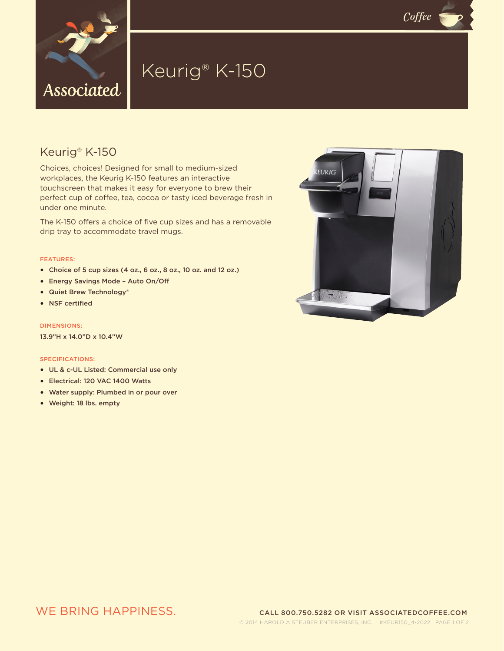

# Keurig® K-150

### Keurig® K-150

Choices, choices! Designed for small to medium-sized workplaces, the Keurig K-150 features an interactive touchscreen that makes it easy for everyone to brew their perfect cup of coffee, tea, cocoa or tasty iced beverage fresh in under one minute.

The K-150 offers a choice of five cup sizes and has a removable drip tray to accommodate travel mugs.

### FEATURES:

- Choice of 5 cup sizes (4 oz., 6 oz., 8 oz., 10 oz. and 12 oz.)
- Energy Savings Mode Auto On/Off
- Quiet Brew Technology®
- NSF certified

### DIMENSIONS:

13.9"H x 14.0"D x 10.4"W

#### SPECIFICATIONS:

- UL & c-UL Listed: Commercial use only
- Electrical: 120 VAC 1400 Watts
- Water supply: Plumbed in or pour over
- Weight: 18 lbs. empty



 $C$ *offee*